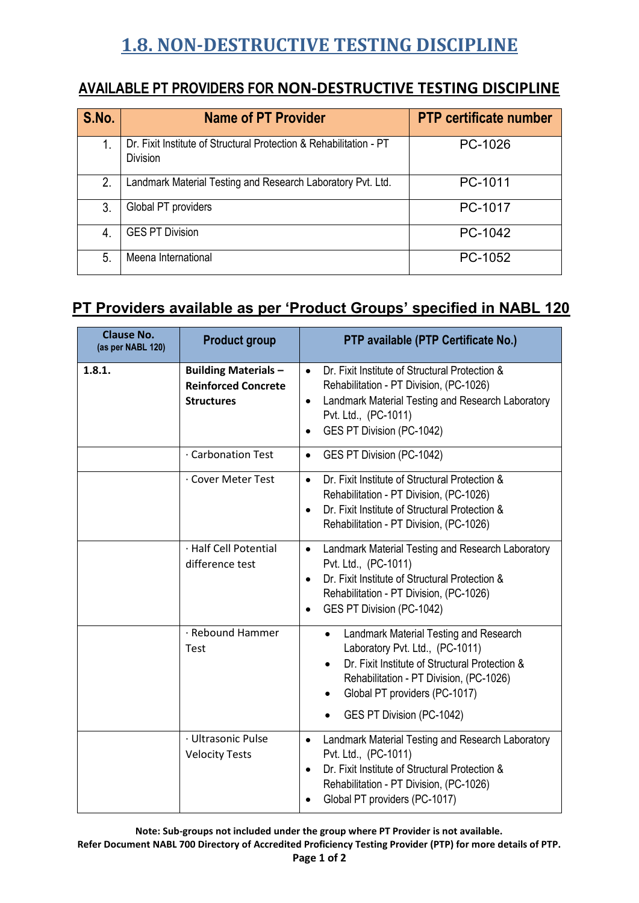## **1.8. NON-DESTRUCTIVE TESTING DISCIPLINE**

## **AVAILABLE PT PROVIDERS FOR NON-DESTRUCTIVE TESTING DISCIPLINE**

| S.No.          | <b>Name of PT Provider</b>                                                            | <b>PTP certificate number</b> |
|----------------|---------------------------------------------------------------------------------------|-------------------------------|
| 1.             | Dr. Fixit Institute of Structural Protection & Rehabilitation - PT<br><b>Division</b> | PC-1026                       |
| 2.             | Landmark Material Testing and Research Laboratory Pvt. Ltd.                           | PC-1011                       |
| 3.             | Global PT providers                                                                   | PC-1017                       |
| $\overline{4}$ | <b>GES PT Division</b>                                                                | PC-1042                       |
| 5.             | Meena International                                                                   | PC-1052                       |

## **PT Providers available as per 'Product Groups' specified in NABL 120**

| <b>Clause No.</b><br>(as per NABL 120) | <b>Product group</b>                                                           | PTP available (PTP Certificate No.)                                                                                                                                                                                                                            |
|----------------------------------------|--------------------------------------------------------------------------------|----------------------------------------------------------------------------------------------------------------------------------------------------------------------------------------------------------------------------------------------------------------|
| 1.8.1.                                 | <b>Building Materials -</b><br><b>Reinforced Concrete</b><br><b>Structures</b> | Dr. Fixit Institute of Structural Protection &<br>$\bullet$<br>Rehabilitation - PT Division, (PC-1026)<br>Landmark Material Testing and Research Laboratory<br>$\bullet$<br>Pvt. Ltd., (PC-1011)<br>GES PT Division (PC-1042)                                  |
|                                        | Carbonation Test                                                               | GES PT Division (PC-1042)<br>$\bullet$                                                                                                                                                                                                                         |
|                                        | . Cover Meter Test                                                             | Dr. Fixit Institute of Structural Protection &<br>$\bullet$<br>Rehabilitation - PT Division, (PC-1026)<br>Dr. Fixit Institute of Structural Protection &<br>$\bullet$<br>Rehabilitation - PT Division, (PC-1026)                                               |
|                                        | · Half Cell Potential<br>difference test                                       | Landmark Material Testing and Research Laboratory<br>$\bullet$<br>Pvt. Ltd., (PC-1011)<br>Dr. Fixit Institute of Structural Protection &<br>$\bullet$<br>Rehabilitation - PT Division, (PC-1026)<br>GES PT Division (PC-1042)<br>$\bullet$                     |
|                                        | · Rebound Hammer<br>Test                                                       | Landmark Material Testing and Research<br>$\bullet$<br>Laboratory Pvt. Ltd., (PC-1011)<br>Dr. Fixit Institute of Structural Protection &<br>$\bullet$<br>Rehabilitation - PT Division, (PC-1026)<br>Global PT providers (PC-1017)<br>GES PT Division (PC-1042) |
|                                        | · Ultrasonic Pulse<br><b>Velocity Tests</b>                                    | Landmark Material Testing and Research Laboratory<br>$\bullet$<br>Pvt. Ltd., (PC-1011)<br>Dr. Fixit Institute of Structural Protection &<br>$\bullet$<br>Rehabilitation - PT Division, (PC-1026)<br>Global PT providers (PC-1017)                              |

**Note: Sub-groups not included under the group where PT Provider is not available.**

**Refer Document NABL 700 Directory of Accredited Proficiency Testing Provider (PTP) for more details of PTP.**